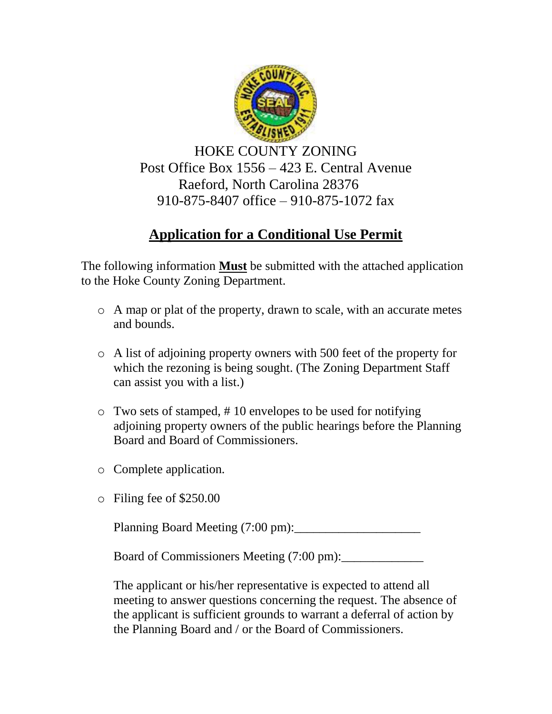

HOKE COUNTY ZONING Post Office Box 1556 – 423 E. Central Avenue Raeford, North Carolina 28376 910-875-8407 office – 910-875-1072 fax

## **Application for a Conditional Use Permit**

The following information **Must** be submitted with the attached application to the Hoke County Zoning Department.

- o A map or plat of the property, drawn to scale, with an accurate metes and bounds.
- o A list of adjoining property owners with 500 feet of the property for which the rezoning is being sought. (The Zoning Department Staff can assist you with a list.)
- o Two sets of stamped, # 10 envelopes to be used for notifying adjoining property owners of the public hearings before the Planning Board and Board of Commissioners.
- o Complete application.
- o Filing fee of \$250.00

Planning Board Meeting (7:00 pm):\_\_\_\_\_\_\_\_\_\_\_\_\_\_\_\_\_\_\_\_

Board of Commissioners Meeting (7:00 pm):

The applicant or his/her representative is expected to attend all meeting to answer questions concerning the request. The absence of the applicant is sufficient grounds to warrant a deferral of action by the Planning Board and / or the Board of Commissioners.